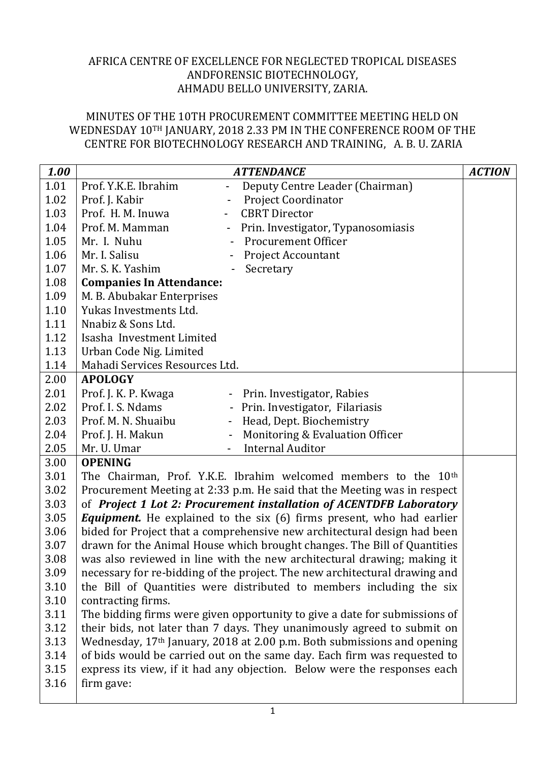## AFRICA CENTRE OF EXCELLENCE FOR NEGLECTED TROPICAL DISEASES ANDFORENSIC BIOTECHNOLOGY, AHMADU BELLO UNIVERSITY, ZARIA.

## MINUTES OF THE 10TH PROCUREMENT COMMITTEE MEETING HELD ON WEDNESDAY 10TH JANUARY, 2018 2.33 PM IN THE CONFERENCE ROOM OF THE CENTRE FOR BIOTECHNOLOGY RESEARCH AND TRAINING, A. B. U. ZARIA

| 1.00 | <b>ATTENDANCE</b>                                                            |                                    | <b>ACTION</b> |  |  |  |
|------|------------------------------------------------------------------------------|------------------------------------|---------------|--|--|--|
| 1.01 | Prof. Y.K.E. Ibrahim                                                         | Deputy Centre Leader (Chairman)    |               |  |  |  |
| 1.02 | Prof. J. Kabir                                                               | Project Coordinator                |               |  |  |  |
| 1.03 | Prof. H. M. Inuwa                                                            | <b>CBRT</b> Director               |               |  |  |  |
| 1.04 | Prof. M. Mamman<br>$\qquad \qquad -$                                         | Prin. Investigator, Typanosomiasis |               |  |  |  |
| 1.05 | Mr. I. Nuhu                                                                  | <b>Procurement Officer</b>         |               |  |  |  |
| 1.06 | Mr. I. Salisu                                                                | <b>Project Accountant</b>          |               |  |  |  |
| 1.07 | Mr. S. K. Yashim                                                             | Secretary                          |               |  |  |  |
| 1.08 | <b>Companies In Attendance:</b>                                              |                                    |               |  |  |  |
| 1.09 | M. B. Abubakar Enterprises                                                   |                                    |               |  |  |  |
| 1.10 | Yukas Investments Ltd.                                                       |                                    |               |  |  |  |
| 1.11 | Nnabiz & Sons Ltd.                                                           |                                    |               |  |  |  |
| 1.12 | Isasha Investment Limited                                                    |                                    |               |  |  |  |
| 1.13 | Urban Code Nig. Limited                                                      |                                    |               |  |  |  |
| 1.14 | Mahadi Services Resources Ltd.                                               |                                    |               |  |  |  |
| 2.00 | <b>APOLOGY</b>                                                               |                                    |               |  |  |  |
| 2.01 | Prof. J. K. P. Kwaga                                                         | - Prin. Investigator, Rabies       |               |  |  |  |
| 2.02 | Prof. I. S. Ndams<br>$\blacksquare$                                          | Prin. Investigator, Filariasis     |               |  |  |  |
| 2.03 | Prof. M. N. Shuaibu                                                          | Head, Dept. Biochemistry           |               |  |  |  |
| 2.04 | Prof. J. H. Makun<br>$\overline{\phantom{a}}$                                | Monitoring & Evaluation Officer    |               |  |  |  |
| 2.05 | Mr. U. Umar                                                                  | <b>Internal Auditor</b>            |               |  |  |  |
| 3.00 | <b>OPENING</b>                                                               |                                    |               |  |  |  |
| 3.01 | The Chairman, Prof. Y.K.E. Ibrahim welcomed members to the 10 <sup>th</sup>  |                                    |               |  |  |  |
| 3.02 | Procurement Meeting at 2:33 p.m. He said that the Meeting was in respect     |                                    |               |  |  |  |
| 3.03 | of Project 1 Lot 2: Procurement installation of ACENTDFB Laboratory          |                                    |               |  |  |  |
| 3.05 | <b>Equipment.</b> He explained to the six (6) firms present, who had earlier |                                    |               |  |  |  |
| 3.06 | bided for Project that a comprehensive new architectural design had been     |                                    |               |  |  |  |
| 3.07 | drawn for the Animal House which brought changes. The Bill of Quantities     |                                    |               |  |  |  |
| 3.08 | was also reviewed in line with the new architectural drawing; making it      |                                    |               |  |  |  |
| 3.09 | necessary for re-bidding of the project. The new architectural drawing and   |                                    |               |  |  |  |
| 3.10 | the Bill of Quantities were distributed to members including the six         |                                    |               |  |  |  |
| 3.10 | contracting firms.                                                           |                                    |               |  |  |  |
| 3.11 | The bidding firms were given opportunity to give a date for submissions of   |                                    |               |  |  |  |
| 3.12 | their bids, not later than 7 days. They unanimously agreed to submit on      |                                    |               |  |  |  |
| 3.13 | Wednesday, 17th January, 2018 at 2.00 p.m. Both submissions and opening      |                                    |               |  |  |  |
| 3.14 | of bids would be carried out on the same day. Each firm was requested to     |                                    |               |  |  |  |
| 3.15 | express its view, if it had any objection. Below were the responses each     |                                    |               |  |  |  |
| 3.16 | firm gave:                                                                   |                                    |               |  |  |  |